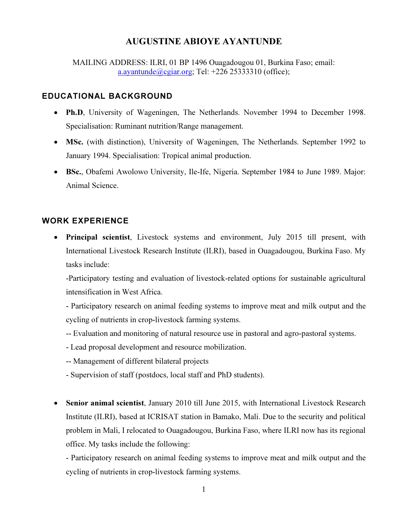# AUGUSTINE ABIOYE AYANTUNDE

MAILING ADDRESS: ILRI, 01 BP 1496 Ouagadougou 01, Burkina Faso; email: a.ayantunde@cgiar.org; Tel:  $+226$  25333310 (office);

### EDUCATIONAL BACKGROUND

- Ph.D, University of Wageningen, The Netherlands. November 1994 to December 1998. Specialisation: Ruminant nutrition/Range management.
- MSc. (with distinction), University of Wageningen, The Netherlands. September 1992 to January 1994. Specialisation: Tropical animal production.
- BSc., Obafemi Awolowo University, Ile-Ife, Nigeria. September 1984 to June 1989. Major: Animal Science.

## WORK EXPERIENCE

Principal scientist, Livestock systems and environment, July 2015 till present, with International Livestock Research Institute (ILRI), based in Ouagadougou, Burkina Faso. My tasks include:

-Participatory testing and evaluation of livestock-related options for sustainable agricultural intensification in West Africa.

- Participatory research on animal feeding systems to improve meat and milk output and the cycling of nutrients in crop-livestock farming systems.

- -- Evaluation and monitoring of natural resource use in pastoral and agro-pastoral systems.
- Lead proposal development and resource mobilization.
- -- Management of different bilateral projects
- Supervision of staff (postdocs, local staff and PhD students).
- Senior animal scientist, January 2010 till June 2015, with International Livestock Research Institute (ILRI), based at ICRISAT station in Bamako, Mali. Due to the security and political problem in Mali, I relocated to Ouagadougou, Burkina Faso, where ILRI now has its regional office. My tasks include the following:

- Participatory research on animal feeding systems to improve meat and milk output and the cycling of nutrients in crop-livestock farming systems.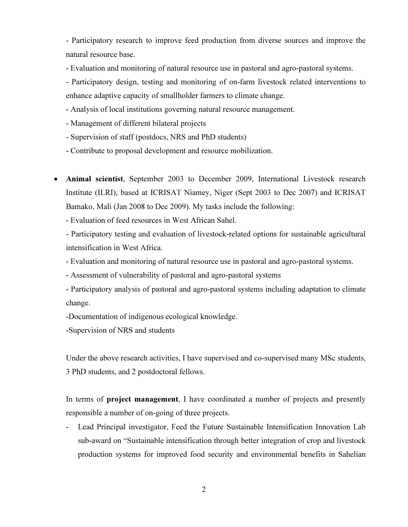- Participatory research to improve feed production from diverse sources and improve the natural resource base.

- Evaluation and monitoring of natural resource use in pastoral and agro-pastoral systems.

- Participatory design, testing and monitoring of on-farm livestock related interventions to enhance adaptive capacity of smallholder farmers to climate change.

- Analysis of local institutions governing natural resource management.
- Management of different bilateral projects
- Supervision of staff (postdocs, NRS and PhD students)
- Contribute to proposal development and resource mobilization.
- Animal scientist, September 2003 to December 2009, International Livestock research Institute (ILRI), based at ICRISAT Niamey, Niger (Sept 2003 to Dec 2007) and ICRISAT Bamako, Mali (Jan 2008 to Dec 2009). My tasks include the following:
	- Evaluation of feed resources in West African Sahel.

- Participatory testing and evaluation of livestock-related options for sustainable agricultural intensification in West Africa.

- Evaluation and monitoring of natural resource use in pastoral and agro-pastoral systems.
- Assessment of vulnerability of pastoral and agro-pastoral systems
- Participatory analysis of pastoral and agro-pastoral systems including adaptation to climate change.
- -Documentation of indigenous ecological knowledge.
- -Supervision of NRS and students

Under the above research activities, I have supervised and co-supervised many MSc students, 3 PhD students, and 2 postdoctoral fellows.

In terms of project management, I have coordinated a number of projects and presently responsible a number of on-going of three projects.

- Lead Principal investigator, Feed the Future Sustainable Intensification Innovation Lab sub-award on "Sustainable intensification through better integration of crop and livestock production systems for improved food security and environmental benefits in Sahelian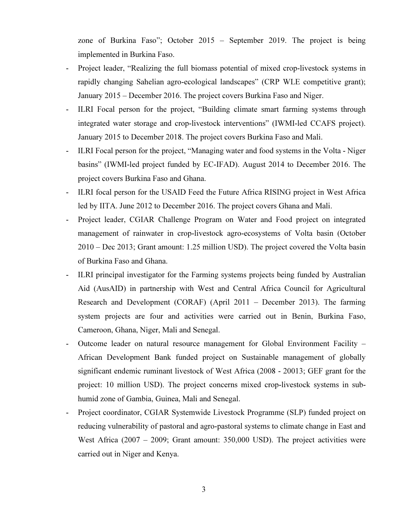zone of Burkina Faso"; October 2015 – September 2019. The project is being implemented in Burkina Faso.

- Project leader, "Realizing the full biomass potential of mixed crop-livestock systems in rapidly changing Sahelian agro-ecological landscapes" (CRP WLE competitive grant); January 2015 – December 2016. The project covers Burkina Faso and Niger.
- ILRI Focal person for the project, "Building climate smart farming systems through integrated water storage and crop-livestock interventions" (IWMI-led CCAFS project). January 2015 to December 2018. The project covers Burkina Faso and Mali.
- ILRI Focal person for the project, "Managing water and food systems in the Volta Niger basins" (IWMI-led project funded by EC-IFAD). August 2014 to December 2016. The project covers Burkina Faso and Ghana.
- ILRI focal person for the USAID Feed the Future Africa RISING project in West Africa led by IITA. June 2012 to December 2016. The project covers Ghana and Mali.
- Project leader, CGIAR Challenge Program on Water and Food project on integrated management of rainwater in crop-livestock agro-ecosystems of Volta basin (October 2010 – Dec 2013; Grant amount: 1.25 million USD). The project covered the Volta basin of Burkina Faso and Ghana.
- ILRI principal investigator for the Farming systems projects being funded by Australian Aid (AusAID) in partnership with West and Central Africa Council for Agricultural Research and Development (CORAF) (April 2011 – December 2013). The farming system projects are four and activities were carried out in Benin, Burkina Faso, Cameroon, Ghana, Niger, Mali and Senegal.
- Outcome leader on natural resource management for Global Environment Facility African Development Bank funded project on Sustainable management of globally significant endemic ruminant livestock of West Africa (2008 - 20013; GEF grant for the project: 10 million USD). The project concerns mixed crop-livestock systems in subhumid zone of Gambia, Guinea, Mali and Senegal.
- Project coordinator, CGIAR Systemwide Livestock Programme (SLP) funded project on reducing vulnerability of pastoral and agro-pastoral systems to climate change in East and West Africa (2007 – 2009; Grant amount: 350,000 USD). The project activities were carried out in Niger and Kenya.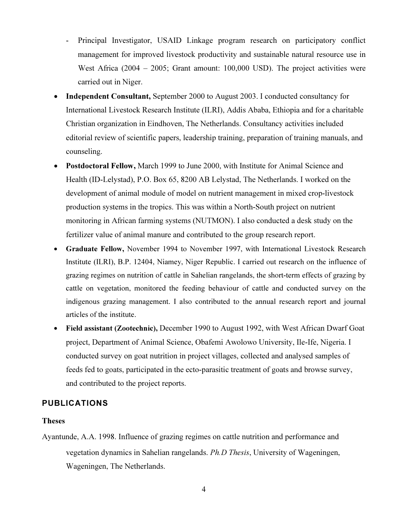- Principal Investigator, USAID Linkage program research on participatory conflict management for improved livestock productivity and sustainable natural resource use in West Africa (2004 – 2005; Grant amount: 100,000 USD). The project activities were carried out in Niger.
- Independent Consultant, September 2000 to August 2003. I conducted consultancy for International Livestock Research Institute (ILRI), Addis Ababa, Ethiopia and for a charitable Christian organization in Eindhoven, The Netherlands. Consultancy activities included editorial review of scientific papers, leadership training, preparation of training manuals, and counseling.
- Postdoctoral Fellow, March 1999 to June 2000, with Institute for Animal Science and Health (ID-Lelystad), P.O. Box 65, 8200 AB Lelystad, The Netherlands. I worked on the development of animal module of model on nutrient management in mixed crop-livestock production systems in the tropics. This was within a North-South project on nutrient monitoring in African farming systems (NUTMON). I also conducted a desk study on the fertilizer value of animal manure and contributed to the group research report.
- Graduate Fellow, November 1994 to November 1997, with International Livestock Research Institute (ILRI), B.P. 12404, Niamey, Niger Republic. I carried out research on the influence of grazing regimes on nutrition of cattle in Sahelian rangelands, the short-term effects of grazing by cattle on vegetation, monitored the feeding behaviour of cattle and conducted survey on the indigenous grazing management. I also contributed to the annual research report and journal articles of the institute.
- Field assistant (Zootechnic), December 1990 to August 1992, with West African Dwarf Goat project, Department of Animal Science, Obafemi Awolowo University, Ile-Ife, Nigeria. I conducted survey on goat nutrition in project villages, collected and analysed samples of feeds fed to goats, participated in the ecto-parasitic treatment of goats and browse survey, and contributed to the project reports.

### PUBLICATIONS

#### Theses

Ayantunde, A.A. 1998. Influence of grazing regimes on cattle nutrition and performance and vegetation dynamics in Sahelian rangelands. Ph.D Thesis, University of Wageningen, Wageningen, The Netherlands.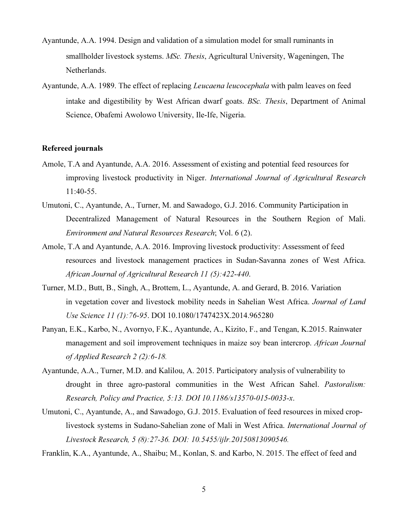- Ayantunde, A.A. 1994. Design and validation of a simulation model for small ruminants in smallholder livestock systems. MSc. Thesis, Agricultural University, Wageningen, The Netherlands.
- Ayantunde, A.A. 1989. The effect of replacing *Leucaena leucocephala* with palm leaves on feed intake and digestibility by West African dwarf goats. BSc. Thesis, Department of Animal Science, Obafemi Awolowo University, Ile-Ife, Nigeria.

#### Refereed journals

- Amole, T.A and Ayantunde, A.A. 2016. Assessment of existing and potential feed resources for improving livestock productivity in Niger. International Journal of Agricultural Research 11:40-55.
- Umutoni, C., Ayantunde, A., Turner, M. and Sawadogo, G.J. 2016. Community Participation in Decentralized Management of Natural Resources in the Southern Region of Mali. Environment and Natural Resources Research; Vol. 6 (2).
- Amole, T.A and Ayantunde, A.A. 2016. Improving livestock productivity: Assessment of feed resources and livestock management practices in Sudan-Savanna zones of West Africa. African Journal of Agricultural Research 11 (5):422-440.
- Turner, M.D., Butt, B., Singh, A., Brottem, L., Ayantunde, A. and Gerard, B. 2016. Variation in vegetation cover and livestock mobility needs in Sahelian West Africa. Journal of Land Use Science 11 (1):76-95. DOI 10.1080/1747423X.2014.965280
- Panyan, E.K., Karbo, N., Avornyo, F.K., Ayantunde, A., Kizito, F., and Tengan, K.2015. Rainwater management and soil improvement techniques in maize soy bean intercrop. African Journal of Applied Research 2 (2):6-18.
- Ayantunde, A.A., Turner, M.D. and Kalilou, A. 2015. Participatory analysis of vulnerability to drought in three agro-pastoral communities in the West African Sahel. Pastoralism: Research, Policy and Practice, 5:13. DOI 10.1186/s13570-015-0033-x.
- Umutoni, C., Ayantunde, A., and Sawadogo, G.J. 2015. Evaluation of feed resources in mixed croplivestock systems in Sudano-Sahelian zone of Mali in West Africa. International Journal of Livestock Research, 5 (8):27-36. DOI: 10.5455/ijlr.20150813090546.

Franklin, K.A., Ayantunde, A., Shaibu; M., Konlan, S. and Karbo, N. 2015. The effect of feed and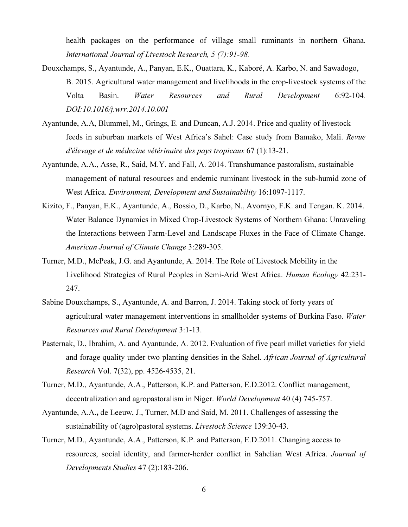health packages on the performance of village small ruminants in northern Ghana. International Journal of Livestock Research, 5 (7):91-98.

- Douxchamps, S., Ayantunde, A., Panyan, E.K., Ouattara, K., Kaboré, A. Karbo, N. and Sawadogo, B. 2015. Agricultural water management and livelihoods in the crop-livestock systems of the Volta Basin. Water Resources and Rural Development 6:92-104. DOI:10.1016/j.wrr.2014.10.001
- Ayantunde, A.A, Blummel, M., Grings, E. and Duncan, A.J. 2014. Price and quality of livestock feeds in suburban markets of West Africa's Sahel: Case study from Bamako, Mali. Revue d'élevage et de médecine vétérinaire des pays tropicaux 67 (1):13-21.
- Ayantunde, A.A., Asse, R., Said, M.Y. and Fall, A. 2014. Transhumance pastoralism, sustainable management of natural resources and endemic ruminant livestock in the sub-humid zone of West Africa. Environment, Development and Sustainability 16:1097-1117.
- Kizito, F., Panyan, E.K., Ayantunde, A., Bossio, D., Karbo, N., Avornyo, F.K. and Tengan. K. 2014. Water Balance Dynamics in Mixed Crop-Livestock Systems of Northern Ghana: Unraveling the Interactions between Farm-Level and Landscape Fluxes in the Face of Climate Change. American Journal of Climate Change 3:289-305.
- Turner, M.D., McPeak, J.G. and Ayantunde, A. 2014. The Role of Livestock Mobility in the Livelihood Strategies of Rural Peoples in Semi-Arid West Africa. Human Ecology 42:231- 247.
- Sabine Douxchamps, S., Ayantunde, A. and Barron, J. 2014. Taking stock of forty years of agricultural water management interventions in smallholder systems of Burkina Faso. Water Resources and Rural Development 3:1-13.
- Pasternak, D., Ibrahim, A. and Ayantunde, A. 2012. Evaluation of five pearl millet varieties for yield and forage quality under two planting densities in the Sahel. African Journal of Agricultural Research Vol. 7(32), pp. 4526-4535, 21.
- Turner, M.D., Ayantunde, A.A., Patterson, K.P. and Patterson, E.D.2012. Conflict management, decentralization and agropastoralism in Niger. World Development 40 (4) 745-757.
- Ayantunde, A.A., de Leeuw, J., Turner, M.D and Said, M. 2011. Challenges of assessing the sustainability of (agro)pastoral systems. Livestock Science 139:30-43.
- Turner, M.D., Ayantunde, A.A., Patterson, K.P. and Patterson, E.D.2011. Changing access to resources, social identity, and farmer-herder conflict in Sahelian West Africa. Journal of Developments Studies 47 (2):183-206.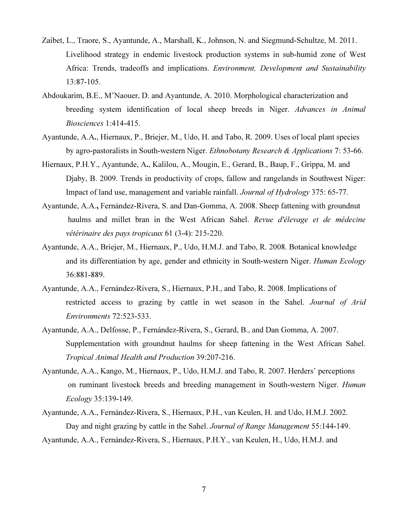- Zaibet, L., Traore, S., Ayantunde, A., Marshall, K., Johnson, N. and Siegmund-Schultze, M. 2011. Livelihood strategy in endemic livestock production systems in sub-humid zone of West Africa: Trends, tradeoffs and implications. Environment, Development and Sustainability 13:87-105.
- Abdoukarim, B.E., M'Naouer, D. and Ayantunde, A. 2010. Morphological characterization and breeding system identification of local sheep breeds in Niger. Advances in Animal Biosciences 1:414-415.
- Ayantunde, A.A., Hiernaux, P., Briejer, M., Udo, H. and Tabo, R. 2009. Uses of local plant species by agro-pastoralists in South-western Niger. *Ethnobotany Research & Applications* 7: 53-66.
- Hiernaux, P.H.Y., Ayantunde, A., Kalilou, A., Mougin, E., Gerard, B., Baup, F., Grippa, M. and Djaby, B. 2009. Trends in productivity of crops, fallow and rangelands in Southwest Niger: Impact of land use, management and variable rainfall. Journal of Hydrology 375: 65-77.
- Ayantunde, A.A., Fernández-Rivera, S. and Dan-Gomma, A. 2008. Sheep fattening with groundnut haulms and millet bran in the West African Sahel. Revue d'élevage et de médecine vétérinaire des pays tropicaux 61 (3-4): 215-220.
- Ayantunde, A.A., Briejer, M., Hiernaux, P., Udo, H.M.J. and Tabo, R. 2008. Botanical knowledge and its differentiation by age, gender and ethnicity in South-western Niger. Human Ecology 36:881-889.
- Ayantunde, A.A., Fernández-Rivera, S., Hiernaux, P.H., and Tabo, R. 2008. Implications of restricted access to grazing by cattle in wet season in the Sahel. Journal of Arid Environments 72:523-533.
- Ayantunde, A.A., Delfosse, P., Fernández-Rivera, S., Gerard, B., and Dan Gomma, A. 2007. Supplementation with groundnut haulms for sheep fattening in the West African Sahel. Tropical Animal Health and Production 39:207-216.
- Ayantunde, A.A., Kango, M., Hiernaux, P., Udo, H.M.J. and Tabo, R. 2007. Herders' perceptions on ruminant livestock breeds and breeding management in South-western Niger. *Human* Ecology 35:139-149.
- Ayantunde, A.A., Fernández-Rivera, S., Hiernaux, P.H., van Keulen, H. and Udo, H.M.J. 2002. Day and night grazing by cattle in the Sahel. Journal of Range Management 55:144-149. Ayantunde, A.A., Fernández-Rivera, S., Hiernaux, P.H.Y., van Keulen, H., Udo, H.M.J. and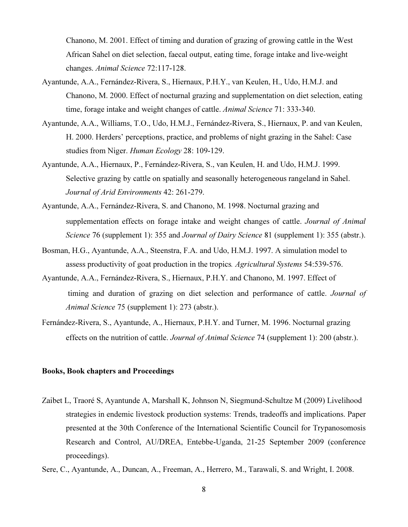Chanono, M. 2001. Effect of timing and duration of grazing of growing cattle in the West African Sahel on diet selection, faecal output, eating time, forage intake and live-weight changes. Animal Science 72:117-128.

- Ayantunde, A.A., Fernández-Rivera, S., Hiernaux, P.H.Y., van Keulen, H., Udo, H.M.J. and Chanono, M. 2000. Effect of nocturnal grazing and supplementation on diet selection, eating time, forage intake and weight changes of cattle. Animal Science 71: 333-340.
- Ayantunde, A.A., Williams, T.O., Udo, H.M.J., Fernández-Rivera, S., Hiernaux, P. and van Keulen, H. 2000. Herders' perceptions, practice, and problems of night grazing in the Sahel: Case studies from Niger. Human Ecology 28: 109-129.
- Ayantunde, A.A., Hiernaux, P., Fernández-Rivera, S., van Keulen, H. and Udo, H.M.J. 1999. Selective grazing by cattle on spatially and seasonally heterogeneous rangeland in Sahel. Journal of Arid Environments 42: 261-279.
- Ayantunde, A.A., Fernández-Rivera, S. and Chanono, M. 1998. Nocturnal grazing and supplementation effects on forage intake and weight changes of cattle. Journal of Animal Science 76 (supplement 1): 355 and *Journal of Dairy Science* 81 (supplement 1): 355 (abstr.).
- Bosman, H.G., Ayantunde, A.A., Steenstra, F.A. and Udo, H.M.J. 1997. A simulation model to assess productivity of goat production in the tropics. Agricultural Systems 54:539-576.
- Ayantunde, A.A., Fernández-Rivera, S., Hiernaux, P.H.Y. and Chanono, M. 1997. Effect of timing and duration of grazing on diet selection and performance of cattle. Journal of Animal Science 75 (supplement 1): 273 (abstr.).
- Fernández-Rivera, S., Ayantunde, A., Hiernaux, P.H.Y. and Turner, M. 1996. Nocturnal grazing effects on the nutrition of cattle. Journal of Animal Science 74 (supplement 1): 200 (abstr.).

#### Books, Book chapters and Proceedings

- Zaibet L, Traoré S, Ayantunde A, Marshall K, Johnson N, Siegmund-Schultze M (2009) Livelihood strategies in endemic livestock production systems: Trends, tradeoffs and implications. Paper presented at the 30th Conference of the International Scientific Council for Trypanosomosis Research and Control, AU/DREA, Entebbe-Uganda, 21-25 September 2009 (conference proceedings).
- Sere, C., Ayantunde, A., Duncan, A., Freeman, A., Herrero, M., Tarawali, S. and Wright, I. 2008.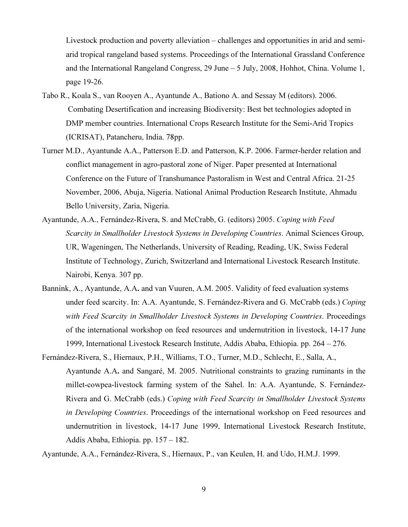Livestock production and poverty alleviation – challenges and opportunities in arid and semiarid tropical rangeland based systems. Proceedings of the International Grassland Conference and the International Rangeland Congress, 29 June – 5 July, 2008, Hohhot, China. Volume 1, page 19-26.

- Tabo R., Koala S., van Rooyen A., Ayantunde A., Bationo A. and Sessay M (editors). 2006. Combating Desertification and increasing Biodiversity: Best bet technologies adopted in DMP member countries. International Crops Research Institute for the Semi-Arid Tropics (ICRISAT), Patancheru, India. 78pp.
- Turner M.D., Ayantunde A.A., Patterson E.D. and Patterson, K.P. 2006. Farmer-herder relation and conflict management in agro-pastoral zone of Niger. Paper presented at International Conference on the Future of Transhumance Pastoralism in West and Central Africa. 21-25 November, 2006, Abuja, Nigeria. National Animal Production Research Institute, Ahmadu Bello University, Zaria, Nigeria.
- Ayantunde, A.A., Fernández-Rivera, S. and McCrabb, G. (editors) 2005. Coping with Feed Scarcity in Smallholder Livestock Systems in Developing Countries. Animal Sciences Group, UR, Wageningen, The Netherlands, University of Reading, Reading, UK, Swiss Federal Institute of Technology, Zurich, Switzerland and International Livestock Research Institute. Nairobi, Kenya. 307 pp.
- Bannink, A., Ayantunde, A.A. and van Vuuren, A.M. 2005. Validity of feed evaluation systems under feed scarcity. In: A.A. Ayantunde, S. Fernández-Rivera and G. McCrabb (eds.) Coping with Feed Scarcity in Smallholder Livestock Systems in Developing Countries. Proceedings of the international workshop on feed resources and undernutrition in livestock, 14-17 June 1999, International Livestock Research Institute, Addis Ababa, Ethiopia. pp. 264 – 276.
- Fernández-Rivera, S., Hiernaux, P.H., Williams, T.O., Turner, M.D., Schlecht, E., Salla, A., Ayantunde A.A. and Sangaré, M. 2005. Nutritional constraints to grazing ruminants in the millet-cowpea-livestock farming system of the Sahel. In: A.A. Ayantunde, S. Fernández-Rivera and G. McCrabb (eds.) Coping with Feed Scarcity in Smallholder Livestock Systems in Developing Countries. Proceedings of the international workshop on Feed resources and undernutrition in livestock, 14-17 June 1999, International Livestock Research Institute, Addis Ababa, Ethiopia. pp. 157 – 182.

Ayantunde, A.A., Fernández-Rivera, S., Hiernaux, P., van Keulen, H. and Udo, H.M.J. 1999.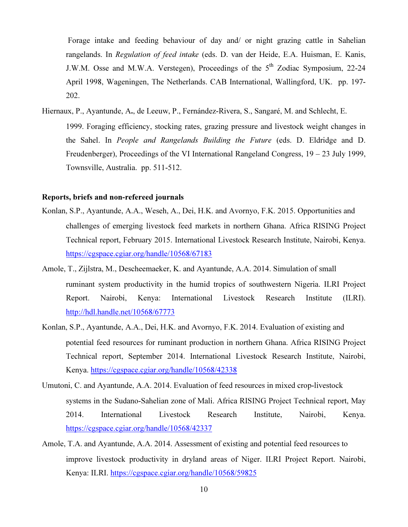Forage intake and feeding behaviour of day and/ or night grazing cattle in Sahelian rangelands. In Regulation of feed intake (eds. D. van der Heide, E.A. Huisman, E. Kanis, J.W.M. Osse and M.W.A. Verstegen), Proceedings of the 5<sup>th</sup> Zodiac Symposium, 22-24 April 1998, Wageningen, The Netherlands. CAB International, Wallingford, UK. pp. 197- 202.

Hiernaux, P., Ayantunde, A., de Leeuw, P., Fernández-Rivera, S., Sangaré, M. and Schlecht, E. 1999. Foraging efficiency, stocking rates, grazing pressure and livestock weight changes in the Sahel. In People and Rangelands Building the Future (eds. D. Eldridge and D. Freudenberger), Proceedings of the VI International Rangeland Congress, 19 – 23 July 1999, Townsville, Australia. pp. 511-512.

#### Reports, briefs and non-refereed journals

- Konlan, S.P., Ayantunde, A.A., Weseh, A., Dei, H.K. and Avornyo, F.K. 2015. Opportunities and challenges of emerging livestock feed markets in northern Ghana. Africa RISING Project Technical report, February 2015. International Livestock Research Institute, Nairobi, Kenya. https://cgspace.cgiar.org/handle/10568/67183
- Amole, T., Zijlstra, M., Descheemaeker, K. and Ayantunde, A.A. 2014. Simulation of small ruminant system productivity in the humid tropics of southwestern Nigeria. ILRI Project Report. Nairobi, Kenya: International Livestock Research Institute (ILRI). http://hdl.handle.net/10568/67773
- Konlan, S.P., Ayantunde, A.A., Dei, H.K. and Avornyo, F.K. 2014. Evaluation of existing and potential feed resources for ruminant production in northern Ghana. Africa RISING Project Technical report, September 2014. International Livestock Research Institute, Nairobi, Kenya. https://cgspace.cgiar.org/handle/10568/42338
- Umutoni, C. and Ayantunde, A.A. 2014. Evaluation of feed resources in mixed crop-livestock systems in the Sudano-Sahelian zone of Mali. Africa RISING Project Technical report, May 2014. International Livestock Research Institute, Nairobi, Kenya. https://cgspace.cgiar.org/handle/10568/42337
- Amole, T.A. and Ayantunde, A.A. 2014. Assessment of existing and potential feed resources to improve livestock productivity in dryland areas of Niger. ILRI Project Report. Nairobi, Kenya: ILRI. https://cgspace.cgiar.org/handle/10568/59825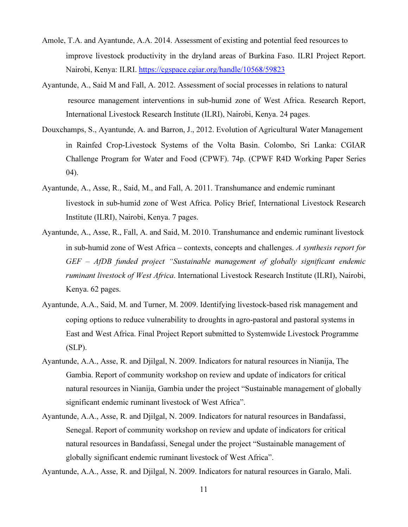- Amole, T.A. and Ayantunde, A.A. 2014. Assessment of existing and potential feed resources to improve livestock productivity in the dryland areas of Burkina Faso. ILRI Project Report. Nairobi, Kenya: ILRI. https://cgspace.cgiar.org/handle/10568/59823
- Ayantunde, A., Said M and Fall, A. 2012. Assessment of social processes in relations to natural resource management interventions in sub-humid zone of West Africa. Research Report, International Livestock Research Institute (ILRI), Nairobi, Kenya. 24 pages.
- Douxchamps, S., Ayantunde, A. and Barron, J., 2012. Evolution of Agricultural Water Management in Rainfed Crop-Livestock Systems of the Volta Basin. Colombo, Sri Lanka: CGIAR Challenge Program for Water and Food (CPWF). 74p. (CPWF R4D Working Paper Series 04).
- Ayantunde, A., Asse, R., Said, M., and Fall, A. 2011. Transhumance and endemic ruminant livestock in sub-humid zone of West Africa. Policy Brief, International Livestock Research Institute (ILRI), Nairobi, Kenya. 7 pages.
- Ayantunde, A., Asse, R., Fall, A. and Said, M. 2010. Transhumance and endemic ruminant livestock in sub-humid zone of West Africa – contexts, concepts and challenges. A synthesis report for GEF – AfDB funded project "Sustainable management of globally significant endemic ruminant livestock of West Africa. International Livestock Research Institute (ILRI), Nairobi, Kenya. 62 pages.
- Ayantunde, A.A., Said, M. and Turner, M. 2009. Identifying livestock-based risk management and coping options to reduce vulnerability to droughts in agro-pastoral and pastoral systems in East and West Africa. Final Project Report submitted to Systemwide Livestock Programme (SLP).
- Ayantunde, A.A., Asse, R. and Djilgal, N. 2009. Indicators for natural resources in Nianija, The Gambia. Report of community workshop on review and update of indicators for critical natural resources in Nianija, Gambia under the project "Sustainable management of globally significant endemic ruminant livestock of West Africa".
- Ayantunde, A.A., Asse, R. and Djilgal, N. 2009. Indicators for natural resources in Bandafassi, Senegal. Report of community workshop on review and update of indicators for critical natural resources in Bandafassi, Senegal under the project "Sustainable management of globally significant endemic ruminant livestock of West Africa".

Ayantunde, A.A., Asse, R. and Djilgal, N. 2009. Indicators for natural resources in Garalo, Mali.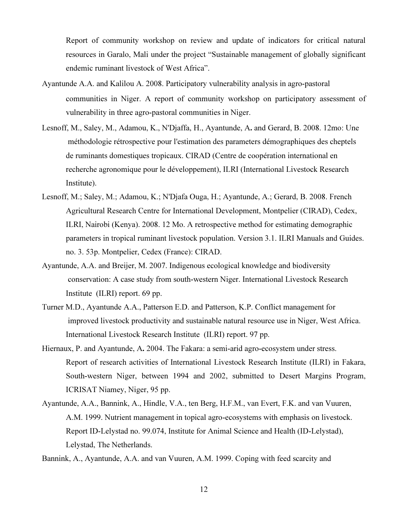Report of community workshop on review and update of indicators for critical natural resources in Garalo, Mali under the project "Sustainable management of globally significant endemic ruminant livestock of West Africa".

- Ayantunde A.A. and Kalilou A. 2008. Participatory vulnerability analysis in agro-pastoral communities in Niger. A report of community workshop on participatory assessment of vulnerability in three agro-pastoral communities in Niger.
- Lesnoff, M., Saley, M., Adamou, K., N'Djaffa, H., Ayantunde, A. and Gerard, B. 2008. 12mo: Une méthodologie rétrospective pour l'estimation des parameters démographiques des cheptels de ruminants domestiques tropicaux. CIRAD (Centre de coopération international en recherche agronomique pour le développement), ILRI (International Livestock Research Institute).
- Lesnoff, M.; Saley, M.; Adamou, K.; N'Djafa Ouga, H.; Ayantunde, A.; Gerard, B. 2008. French Agricultural Research Centre for International Development, Montpelier (CIRAD), Cedex, ILRI, Nairobi (Kenya). 2008. 12 Mo. A retrospective method for estimating demographic parameters in tropical ruminant livestock population. Version 3.1. ILRI Manuals and Guides. no. 3. 53p. Montpelier, Cedex (France): CIRAD.
- Ayantunde, A.A. and Breijer, M. 2007. Indigenous ecological knowledge and biodiversity conservation: A case study from south-western Niger. International Livestock Research Institute (ILRI) report. 69 pp.
- Turner M.D., Ayantunde A.A., Patterson E.D. and Patterson, K.P. Conflict management for improved livestock productivity and sustainable natural resource use in Niger, West Africa. International Livestock Research Institute (ILRI) report. 97 pp.
- Hiernaux, P. and Ayantunde, A. 2004. The Fakara: a semi-arid agro-ecosystem under stress. Report of research activities of International Livestock Research Institute (ILRI) in Fakara, South-western Niger, between 1994 and 2002, submitted to Desert Margins Program, ICRISAT Niamey, Niger, 95 pp.
- Ayantunde, A.A., Bannink, A., Hindle, V.A., ten Berg, H.F.M., van Evert, F.K. and van Vuuren, A.M. 1999. Nutrient management in topical agro-ecosystems with emphasis on livestock. Report ID-Lelystad no. 99.074, Institute for Animal Science and Health (ID-Lelystad), Lelystad, The Netherlands.

Bannink, A., Ayantunde, A.A. and van Vuuren, A.M. 1999. Coping with feed scarcity and